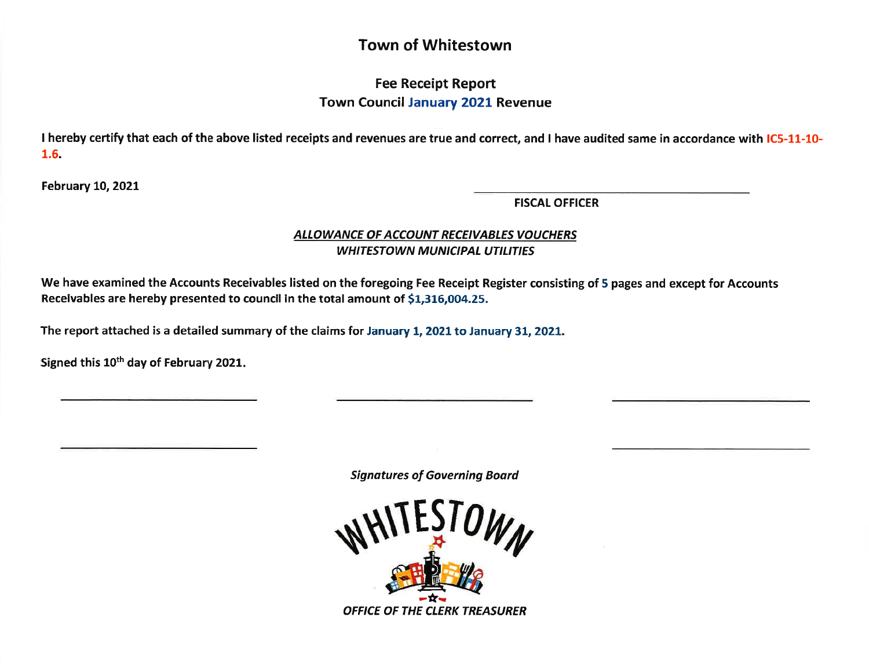# Town of Whitestown

## Fee Receipt Report Town Council January 2O2L Revenue

I hereby certify that each of the above listed receipts and revenues are true and correct, and I have audited same in accordance with IC5-11-10-1.6.

February 10, 2021

FISCAL OFFICER

### ALLOWANCE OF ACCOUNT RECEIVABLES VOUCHERS WHITESTOWN MUNICIPAL UTILITIES

We have examined the Accounts Receivables listed on the foregoing Fee Receipt Register consisting of 5 pages and except for Accounts Receivables are hereby presented to council in the total amount of 51,316,004.25.

The report attached is a detailed summary of the claims for January 1, 2021 to January 31, 2021.

Signed this 10<sup>th</sup> day of February 2021.

Signotures of Governing Board

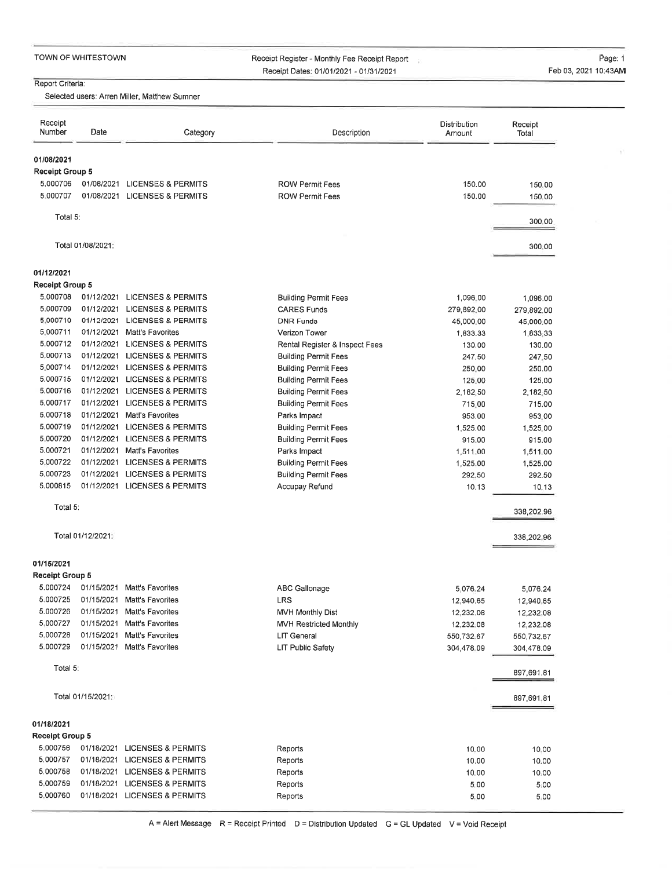Receipt Register - Monthly Fee Receipt Report Receipt Dates: 0110112021 - 0113112021

÷

 $\tilde{\mathcal{V}}$ 

#### Report Griteria:

Selected users: Arren Miller, Matthew Sumner

| Receipt<br>Number                    | Date              | Category                      | Description                                                | Distribution<br>Amount | Receipt<br>Total |
|--------------------------------------|-------------------|-------------------------------|------------------------------------------------------------|------------------------|------------------|
| 01/08/2021                           |                   |                               |                                                            |                        |                  |
| <b>Receipt Group 5</b>               |                   |                               |                                                            |                        |                  |
| 5,000706                             |                   | 01/08/2021 LICENSES & PERMITS | <b>ROW Permit Fees</b>                                     | 150.00                 | 150.00           |
| 5.000707                             |                   | 01/08/2021 LICENSES & PERMITS | <b>ROW Permit Fees</b>                                     | 150.00                 | 150.00           |
| Total 5:                             |                   |                               |                                                            |                        | 300.00           |
|                                      | Total 01/08/2021: |                               |                                                            |                        | 300.00           |
|                                      |                   |                               |                                                            |                        |                  |
| 01/12/2021<br><b>Receipt Group 5</b> |                   |                               |                                                            |                        |                  |
| 5.000708                             |                   | 01/12/2021 LICENSES & PERMITS | <b>Building Permit Fees</b>                                | 1,096.00               | 1,096.00         |
| 5.000709                             |                   | 01/12/2021 LICENSES & PERMITS | <b>CARES Funds</b>                                         | 279,892.00             | 279,892.00       |
| 5.000710                             | 01/12/2021        | <b>LICENSES &amp; PERMITS</b> | <b>DNR Funds</b>                                           | 45,000.00              | 45,000.00        |
| 5.000711                             | 01/12/2021        | Matt's Favorites              | Verizon Tower                                              | 1,833.33               | 1,833,33         |
| 5.000712                             |                   | 01/12/2021 LICENSES & PERMITS | Rental Register & Inspect Fees                             | 130.00                 |                  |
| 5.000713                             |                   | 01/12/2021 LICENSES & PERMITS | <b>Building Permit Fees</b>                                | 247.50                 | 130.00<br>247.50 |
| 5.000714                             |                   | 01/12/2021 LICENSES & PERMITS |                                                            |                        |                  |
| 5.000715                             | 01/12/2021        | <b>LICENSES &amp; PERMITS</b> | <b>Building Permit Fees</b><br><b>Building Permit Fees</b> | 250.00<br>125.00       | 250.00<br>125.00 |
| 5.000716                             |                   | 01/12/2021 LICENSES & PERMITS | <b>Building Permit Fees</b>                                | 2,182,50               |                  |
| 5.000717                             | 01/12/2021        | <b>LICENSES &amp; PERMITS</b> | <b>Building Permit Fees</b>                                | 715.00                 | 2,182.50         |
| 5.000718                             |                   | 01/12/2021 Matt's Favorites   |                                                            |                        | 715.00           |
| 5.000719                             |                   | 01/12/2021 LICENSES & PERMITS | Parks Impact                                               | 953.00                 | 953.00           |
| 5,000720                             |                   | 01/12/2021 LICENSES & PERMITS | <b>Building Permit Fees</b>                                | 1,525.00               | 1,525.00         |
| 5.000721                             |                   |                               | <b>Building Permit Fees</b>                                | 915.00                 | 915,00           |
| 5,000722                             |                   | 01/12/2021 Matt's Favorites   | Parks Impact                                               | 1,511.00               | 1,511.00         |
|                                      | 01/12/2021        | <b>LICENSES &amp; PERMITS</b> | <b>Building Permit Fees</b>                                | 1,525.00               | 1,525.00         |
| 5.000723<br>5.000815                 |                   | 01/12/2021 LICENSES & PERMITS | <b>Building Permit Fees</b>                                | 292.50                 | 292.50           |
|                                      |                   | 01/12/2021 LICENSES & PERMITS | Accupay Refund                                             | 10.13                  | 10.13            |
| Total 5:                             |                   |                               |                                                            |                        | 338,202.96       |
| Total 01/12/2021:                    |                   |                               |                                                            |                        | 338,202.96       |
| 01/15/2021                           |                   |                               |                                                            |                        |                  |
| <b>Receipt Group 5</b>               |                   |                               |                                                            |                        |                  |
| 5.000724                             |                   | 01/15/2021 Matt's Favorites   | <b>ABC Gallonage</b>                                       | 5,076.24               | 5,076.24         |
| 5.000725                             |                   | 01/15/2021 Matt's Favorites   | <b>LRS</b>                                                 | 12,940.65              | 12,940.65        |
| 5.000726                             |                   | 01/15/2021 Matt's Favorites   | MVH Monthly Dist                                           | 12,232.08              | 12,232.08        |
| 5.000727                             | 01/15/2021        | Matt's Favorites              | <b>MVH Restricted Monthly</b>                              | 12,232.08              | 12,232.08        |
| 5,000728                             | 01/15/2021        | Matt's Favorites              | LIT General                                                | 550,732.67             | 550,732.67       |
| 5.000729                             | 01/15/2021        | Matt's Favorites              | LIT Public Safety                                          | 304,478.09             | 304,478.09       |
| Total 5:                             |                   |                               |                                                            |                        | 897,691.81       |
|                                      | Total 01/15/2021: |                               |                                                            |                        | 897,691.81       |
|                                      |                   |                               |                                                            |                        |                  |
| 01/18/2021<br><b>Receipt Group 5</b> |                   |                               |                                                            |                        |                  |
| 5.000756                             | 01/18/2021        | <b>LICENSES &amp; PERMITS</b> | Reports                                                    | 10.00                  | 10,00            |
| 5.000757                             | 01/18/2021        | <b>LICENSES &amp; PERMITS</b> | Reports                                                    | 10.00                  | 10.00            |
| 5.000758                             | 01/18/2021        | <b>LICENSES &amp; PERMITS</b> | Reports                                                    | 10.00                  | 10.00            |
| 5.000759                             | 01/18/2021        | LICENSES & PERMITS            | Reports                                                    | 5.00                   |                  |
| 5.000760                             | 01/18/2021        | LICENSES & PERMITS            | Reports                                                    | 5.00                   | 5.00             |
|                                      |                   |                               |                                                            |                        | 5,00             |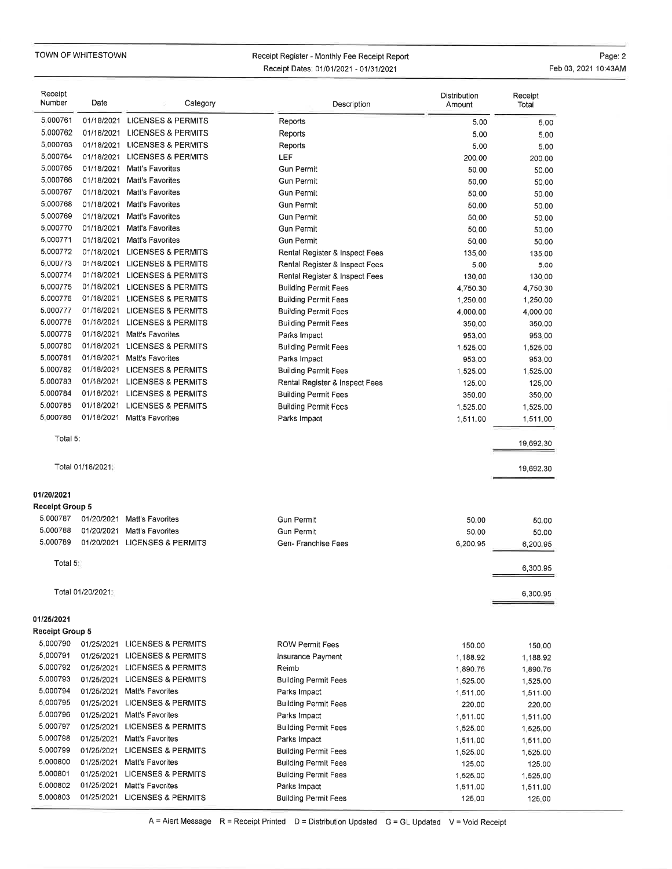TOWN OF WHITESTOWN

#### Receipt Register - Monthly Fee Receipt Report Receipt Dates: 0110112021 - 0113112021

Page: 2Feb 03, 2021 10:43AM

| Receipt<br>Number                    | Date              | Category                      | Description                    | Distribution<br>Amount | Receipt<br>Total       |
|--------------------------------------|-------------------|-------------------------------|--------------------------------|------------------------|------------------------|
| 5.000761                             |                   | 01/18/2021 LICENSES & PERMITS | Reports                        | 5.00                   | 5.00                   |
| 5.000762                             | 01/18/2021        | <b>LICENSES &amp; PERMITS</b> | Reports                        | 5.00                   | 5.00                   |
| 5.000763                             |                   | 01/18/2021 LICENSES & PERMITS | Reports                        | 5.00                   | 5.00                   |
| 5.000764                             |                   | 01/18/2021 LICENSES & PERMITS | <b>LEF</b>                     | 200,00                 | 200.00                 |
| 5.000765                             | 01/18/2021        | Matt's Favorites              | <b>Gun Permit</b>              | 50.00                  | 50.00                  |
| 5,000766                             | 01/18/2021        | <b>Matt's Favorites</b>       | <b>Gun Permit</b>              | 50,00                  | 50.00                  |
| 5.000767                             | 01/18/2021        | Matt's Favorites              | <b>Gun Permit</b>              | 50,00                  | 50.00                  |
| 5.000768                             | 01/18/2021        | Matt's Favorites              | <b>Gun Permit</b>              | 50,00                  | 50.00                  |
| 5.000769                             |                   | 01/18/2021 Matt's Favorites   | <b>Gun Permit</b>              | 50.00                  | 50.00                  |
| 5,000770                             | 01/18/2021        | Matt's Favorites              | <b>Gun Permit</b>              | 50.00                  | 50.00                  |
| 5.000771                             | 01/18/2021        | Matt's Favorites              | <b>Gun Permit</b>              | 50.00                  | 50.00                  |
| 5.000772                             | 01/18/2021        | <b>LICENSES &amp; PERMITS</b> | Rental Register & Inspect Fees | 135.00                 | 135.00                 |
| 5.000773                             | 01/18/2021        | <b>LICENSES &amp; PERMITS</b> | Rental Register & Inspect Fees | 5.00                   | 5.00                   |
| 5.000774                             |                   | 01/18/2021 LICENSES & PERMITS | Rental Register & Inspect Fees | 130.00                 | 130.00                 |
| 5.000775                             | 01/18/2021        | <b>LICENSES &amp; PERMITS</b> | <b>Building Permit Fees</b>    | 4,750.30               | 4,750.30               |
| 5.000776                             |                   | 01/18/2021 LICENSES & PERMITS | <b>Building Permit Fees</b>    | 1,250.00               | 1,250.00               |
| 5.000777                             | 01/18/2021        | <b>LICENSES &amp; PERMITS</b> | <b>Building Permit Fees</b>    | 4,000.00               | 4,000.00               |
| 5.000778                             | 01/18/2021        | <b>LICENSES &amp; PERMITS</b> | <b>Building Permit Fees</b>    | 350,00                 | 350.00                 |
| 5.000779                             | 01/18/2021        | Matt's Favorites              | Parks Impact                   | 953.00                 | 953.00                 |
| 5.000780                             | 01/18/2021        | <b>LICENSES &amp; PERMITS</b> | <b>Building Permit Fees</b>    | 1,525.00               | 1,525.00               |
| 5.000781                             | 01/18/2021        | <b>Matt's Favorites</b>       | Parks Impact                   | 953.00                 | 953.00                 |
| 5.000782                             | 01/18/2021        | <b>LICENSES &amp; PERMITS</b> | <b>Building Permit Fees</b>    | 1,525.00               | 1,525.00               |
| 5.000783                             | 01/18/2021        | <b>LICENSES &amp; PERMITS</b> | Rental Register & Inspect Fees | 125.00                 | 125,00                 |
| 5.000784                             | 01/18/2021        | <b>LICENSES &amp; PERMITS</b> | <b>Building Permit Fees</b>    | 350,00                 | 350,00                 |
| 5.000785                             | 01/18/2021        | <b>LICENSES &amp; PERMITS</b> | <b>Building Permit Fees</b>    | 1,525.00               | 1,525.00               |
| 5.000786                             |                   | 01/18/2021 Matt's Favorites   | Parks Impact                   | 1,511.00               | 1,511.00               |
| Total 5:                             | Total 01/18/2021: |                               |                                |                        | 19,692,30<br>19,692.30 |
| 01/20/2021<br><b>Receipt Group 5</b> |                   |                               |                                |                        |                        |
| 5.000787                             | 01/20/2021        | <b>Matt's Favorites</b>       | <b>Gun Permit</b>              |                        |                        |
| 5,000788                             | 01/20/2021        | Matt's Favorites              | <b>Gun Permit</b>              | 50.00<br>50.00         | 50.00                  |
| 5.000789                             | 01/20/2021        | <b>LICENSES &amp; PERMITS</b> | Gen-Franchise Fees             | 6,200.95               | 50.00<br>6.200.95      |
| Total 5:                             |                   |                               |                                |                        |                        |
|                                      |                   |                               |                                |                        | 6,300.95               |
|                                      | Total 01/20/2021: |                               |                                |                        | 6,300.95               |
| 01/25/2021                           |                   |                               |                                |                        |                        |
| Receipt Group 5                      |                   |                               |                                |                        |                        |
| 5.000790                             |                   | 01/25/2021 LICENSES & PERMITS | <b>ROW Permit Fees</b>         | 150.00                 | 150,00                 |
| 5.000791                             |                   | 01/25/2021 LICENSES & PERMITS | Insurance Payment              | 1,188.92               | 1,188.92               |
| 5.000792                             |                   | 01/25/2021 LICENSES & PERMITS | Reimb                          | 1,890.76               | 1,890.76               |
| 5.000793                             |                   | 01/25/2021 LICENSES & PERMITS | <b>Building Permit Fees</b>    | 1,525.00               | 1,525,00               |
| 5.000794                             |                   | 01/25/2021 Matt's Favorites   | Parks Impact                   | 1,511.00               | 1,511.00               |
| 5.000795                             |                   | 01/25/2021 LICENSES & PERMITS | <b>Building Permit Fees</b>    | 220.00                 | 220,00                 |
| 5.000796                             |                   | 01/25/2021 Matt's Favorites   | Parks Impact                   | 1,511.00               | 1,511,00               |
| 5.000797                             |                   | 01/25/2021 LICENSES & PERMITS | <b>Building Permit Fees</b>    | 1,525,00               | 1,525,00               |
| 5.000798                             |                   | 01/25/2021 Matt's Favorites   | Parks Impact                   | 1,511,00               | 1,511.00               |
| 5.000799                             |                   | 01/25/2021 LICENSES & PERMITS | <b>Building Permit Fees</b>    | 1,525.00               | 1,525.00               |
| 5.000800                             |                   | 01/25/2021 Matt's Favorites   | <b>Building Permit Fees</b>    | 125.00                 | 125.00                 |
| 5.000801                             |                   | 01/25/2021 LICENSES & PERMITS | <b>Building Permit Fees</b>    | 1,525,00               | 1,525.00               |
| 5.000802                             | 01/25/2021        | Matt's Favorites              | Parks Impact                   | 1,511.00               | 1,511.00               |
| 5.000803                             |                   | 01/25/2021 LICENSES & PERMITS | <b>Building Permit Fees</b>    | 125.00                 | 125.00                 |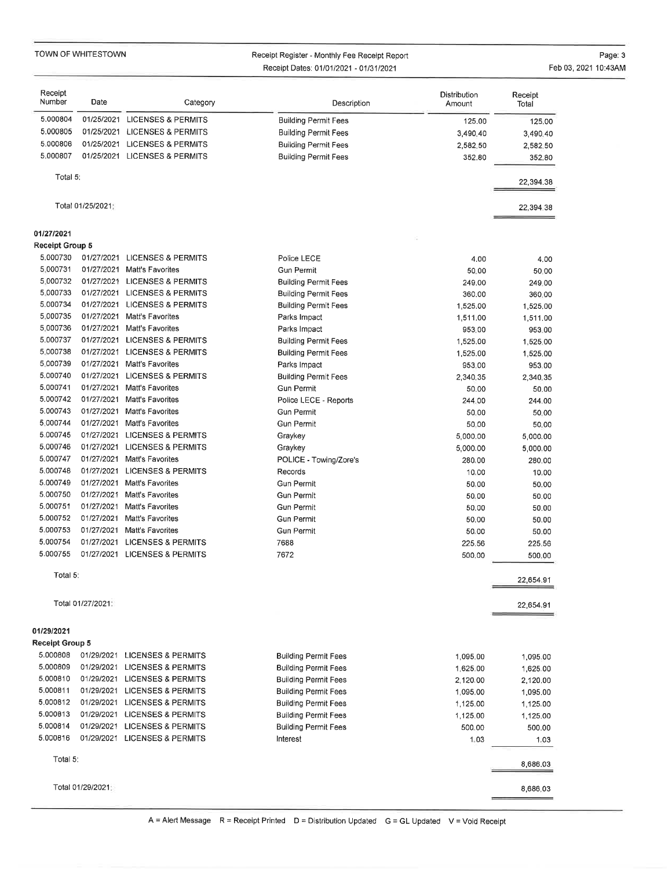TOWN OF WHITESTOWN

#### Receipt Register - Monthly Fee Receipt ReportReceipt Dates: 0110112021 - 0113112021

Page: 3Feb 03,2021 10:43AM

| Receipt<br>Number      | Date              | Category                      | Description                                                | Distribution<br>Amount | Receipt<br>Total |
|------------------------|-------------------|-------------------------------|------------------------------------------------------------|------------------------|------------------|
| 5.000804               | 01/25/2021        | <b>LICENSES &amp; PERMITS</b> | <b>Building Permit Fees</b>                                | 125,00                 | 125.00           |
| 5.000805               |                   | 01/25/2021 LICENSES & PERMITS | <b>Building Permit Fees</b>                                | 3,490.40               | 3,490.40         |
| 5.000806               | 01/25/2021        | <b>LICENSES &amp; PERMITS</b> | <b>Building Permit Fees</b>                                | 2,582.50               | 2,582.50         |
| 5.000807               |                   | 01/25/2021 LICENSES & PERMITS | <b>Building Permit Fees</b>                                | 352.80                 | 352.80           |
| Total 5:               |                   |                               |                                                            |                        | 22,394.38        |
|                        | Total 01/25/2021  |                               |                                                            |                        | 22,394,38        |
| 01/27/2021             |                   |                               |                                                            |                        |                  |
| <b>Receipt Group 5</b> |                   |                               |                                                            |                        |                  |
| 5.000730               | 01/27/2021        | <b>LICENSES &amp; PERMITS</b> | Police LECE                                                | 4,00                   | 4.00             |
| 5.000731               |                   | 01/27/2021 Matt's Favorites   | <b>Gun Permit</b>                                          | 50.00                  | 50.00            |
| 5,000732               |                   | 01/27/2021 LICENSES & PERMITS | <b>Building Permit Fees</b>                                | 249.00                 | 249.00           |
| 5.000733               |                   | 01/27/2021 LICENSES & PERMITS | <b>Building Permit Fees</b>                                | 360,00                 | 360.00           |
| 5.000734               |                   | 01/27/2021 LICENSES & PERMITS | <b>Building Permit Fees</b>                                | 1,525.00               | 1,525.00         |
| 5.000735               | 01/27/2021        | Matt's Favorites              | Parks Impact                                               | 1,511.00               | 1,511.00         |
| 5.000736               | 01/27/2021        | Matt's Favorites              | Parks Impact                                               | 953.00                 | 953.00           |
| 5.000737               |                   | 01/27/2021 LICENSES & PERMITS | <b>Building Permit Fees</b>                                | 1,525.00               | 1,525,00         |
| 5.000738               | 01/27/2021        | <b>LICENSES &amp; PERMITS</b> | <b>Building Permit Fees</b>                                | 1,525.00               | 1,525.00         |
| 5.000739               | 01/27/2021        | <b>Matt's Favorites</b>       | Parks Impact                                               | 953.00                 | 953.00           |
| 5.000740               |                   | 01/27/2021 LICENSES & PERMITS | <b>Building Permit Fees</b>                                | 2,340,35               | 2,340.35         |
| 5.000741               | 01/27/2021        | Matt's Favorites              | <b>Gun Permit</b>                                          | 50.00                  | 50.00            |
| 5.000742               | 01/27/2021        | Matt's Favorites              | Police LECE - Reports                                      | 244.00                 | 244.00           |
| 5.000743               |                   | 01/27/2021 Matt's Favorites   | <b>Gun Permit</b>                                          | 50.00                  | 50.00            |
| 5.000744               | 01/27/2021        | Matt's Favorites              | <b>Gun Permit</b>                                          | 50.00                  | 50.00            |
| 5.000745               |                   | 01/27/2021 LICENSES & PERMITS | Graykey                                                    | 5,000.00               | 5,000.00         |
| 5.000746               |                   | 01/27/2021 LICENSES & PERMITS | Graykey                                                    | 5,000.00               | 5,000.00         |
| 5.000747               | 01/27/2021        | Matt's Favorites              | POLICE - Towing/Zore's                                     | 280.00                 | 280,00           |
| 5.000748               | 01/27/2021        | <b>LICENSES &amp; PERMITS</b> | Records                                                    | 10.00                  | 10,00            |
| 5.000749               |                   | 01/27/2021 Matt's Favorites   | <b>Gun Permit</b>                                          | 50,00                  | 50.00            |
| 5.000750               | 01/27/2021        | Matt's Favorites              | <b>Gun Permit</b>                                          | 50.00                  | 50.00            |
| 5.000751               | 01/27/2021        | Matt's Favorites              | <b>Gun Permit</b>                                          | 50,00                  | 50.00            |
| 5.000752               | 01/27/2021        | Matt's Favorites              | <b>Gun Permit</b>                                          | 50.00                  | 50.00            |
| 5.000753               | 01/27/2021        | Matt's Favorites              | <b>Gun Permit</b>                                          | 50.00                  | 50.00            |
| 5.000754               |                   | 01/27/2021 LICENSES & PERMITS | 7688                                                       | 225.56                 | 225,56           |
| 5.000755               |                   | 01/27/2021 LICENSES & PERMITS | 7672                                                       | 500.00                 | 500.00           |
| Total 5:               |                   |                               |                                                            |                        | 22,654.91        |
|                        | Total 01/27/2021: |                               |                                                            |                        | 22,654.91        |
| 01/29/2021             |                   |                               |                                                            |                        |                  |
| <b>Receipt Group 5</b> |                   |                               |                                                            |                        |                  |
| 5.000808               |                   | 01/29/2021 LICENSES & PERMITS | <b>Building Permit Fees</b>                                |                        |                  |
| 5.000809               |                   | 01/29/2021 LICENSES & PERMITS | <b>Building Permit Fees</b>                                | 1,095.00               | 1,095.00         |
| 5.000810               |                   | 01/29/2021 LICENSES & PERMITS | <b>Building Permit Fees</b>                                | 1,625.00               | 1,625.00         |
| 5.000811               |                   | 01/29/2021 LICENSES & PERMITS |                                                            | 2,120.00               | 2,120.00         |
| 5.000812               |                   | 01/29/2021 LICENSES & PERMITS | <b>Building Permit Fees</b><br><b>Building Permit Fees</b> | 1,095.00               | 1,095.00         |
| 5.000813               |                   |                               |                                                            | 1,125.00               | 1,125.00         |
| 5.000814               |                   | 01/29/2021 LICENSES & PERMITS | <b>Building Permit Fees</b>                                | 1,125.00               | 1,125.00         |
| 5.000816               |                   | 01/29/2021 LICENSES & PERMITS | <b>Building Permit Fees</b>                                | 500.00                 | 500.00           |
|                        |                   | 01/29/2021 LICENSES & PERMITS | Interest                                                   | 1.03                   | 1.03             |
| Total 5:               |                   |                               |                                                            |                        | 8,686.03         |
|                        | Total 01/29/2021: |                               |                                                            |                        | 8,686.03         |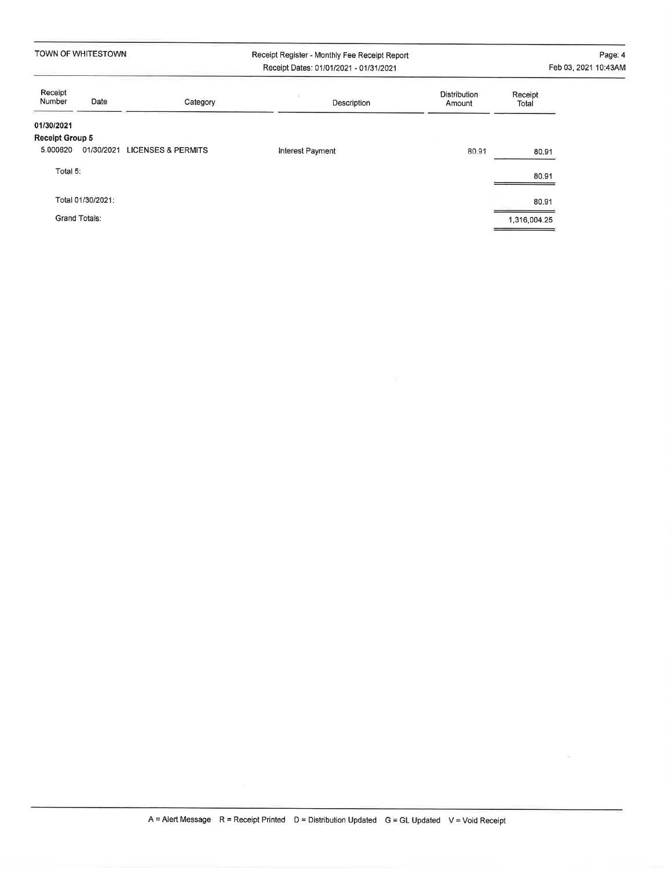|                        | TOWN OF WHITESTOWN   |                               | Receipt Register - Monthly Fee Receipt Report<br>Receipt Dates: 01/01/2021 - 01/31/2021 |                        |                  | Page: 4<br>Feb 03, 2021 10:43AM |
|------------------------|----------------------|-------------------------------|-----------------------------------------------------------------------------------------|------------------------|------------------|---------------------------------|
| Receipt<br>Number      | Date                 | Category                      | Description                                                                             | Distribution<br>Amount | Receipt<br>Total |                                 |
| 01/30/2021             |                      |                               |                                                                                         |                        |                  |                                 |
| <b>Receipt Group 5</b> |                      |                               |                                                                                         |                        |                  |                                 |
| 5.000820               | 01/30/2021           | <b>LICENSES &amp; PERMITS</b> | Interest Payment                                                                        | 80.91                  | 80.91            |                                 |
| Total 5:               |                      |                               |                                                                                         |                        | 80,91            |                                 |
|                        | Total 01/30/2021:    |                               |                                                                                         |                        | 80.91            |                                 |
|                        | <b>Grand Totals:</b> |                               |                                                                                         |                        | 1,316,004.25     |                                 |